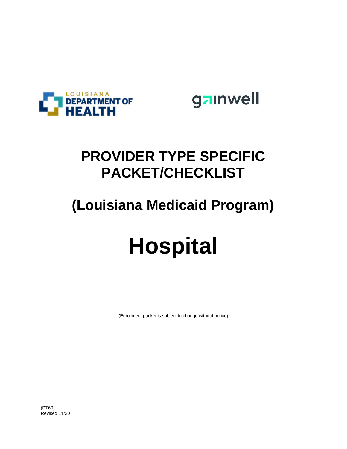

gainwell

# **PROVIDER TYPE SPECIFIC PACKET/CHECKLIST**

# **(Louisiana Medicaid Program)**

# **Hospital**

(Enrollment packet is subject to change without notice)

(PT60) Revised 11/20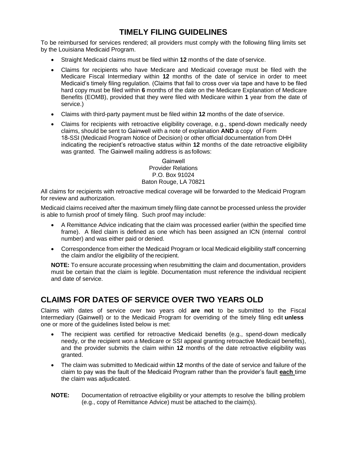## **TIMELY FILING GUIDELINES**

To be reimbursed for services rendered; all providers must comply with the following filing limits set by the Louisiana Medicaid Program.

- Straight Medicaid claims must be filed within **12** months of the date of service.
- Claims for recipients who have Medicare and Medicaid coverage must be filed with the Medicare Fiscal Intermediary within **12** months of the date of service in order to meet Medicaid's timely filing regulation. (Claims that fail to cross over via tape and have to be filed hard copy must be filed within **6** months of the date on the Medicare Explanation of Medicare Benefits (EOMB), provided that they were filed with Medicare within **1** year from the date of service.)
- Claims with third-party payment must be filed within **12** months of the date of service.
- Claims for recipients with retroactive eligibility coverage, e.g., spend-down medically needy claims, should be sent to Gainwell with a note of explanation **AND** a copy of Form 18-SSI (Medicaid Program Notice of Decision) or other official documentation from DHH indicating the recipient's retroactive status within **12** months of the date retroactive eligibility was granted. The Gainwell mailing address is as follows:

Gainwell Provider Relations P.O. Box 91024 Baton Rouge, LA 70821

All claims for recipients with retroactive medical coverage will be forwarded to the Medicaid Program for review and authorization.

Medicaid claims received after the maximum timely filing date cannot be processed unless the provider is able to furnish proof of timely filing. Such proof may include:

- A Remittance Advice indicating that the claim was processed earlier (within the specified time frame). A filed claim is defined as one which has been assigned an ICN (internal control number) and was either paid or denied.
- Correspondence from either the Medicaid Program or local Medicaid eligibility staff concerning the claim and/or the eligibility of the recipient.

**NOTE:** To ensure accurate processing when resubmitting the claim and documentation, providers must be certain that the claim is legible. Documentation must reference the individual recipient and date of service.

## **CLAIMS FOR DATES OF SERVICE OVER TWO YEARS OLD**

Claims with dates of service over two years old **are not** to be submitted to the Fiscal Intermediary (Gainwell) or to the Medicaid Program for overriding of the timely filing edit **unless**  one or more of the guidelines listed below is met:

- The recipient was certified for retroactive Medicaid benefits (e.g., spend-down medically needy, or the recipient won a Medicare or SSI appeal granting retroactive Medicaid benefits), and the provider submits the claim within **12** months of the date retroactive eligibility was granted.
- The claim was submitted to Medicaid within **12** months of the date of service and failure of the claim to pay was the fault of the Medicaid Program rather than the provider's fault **each** time the claim was adjudicated.
- **NOTE:** Documentation of retroactive eligibility or your attempts to resolve the billing problem (e.g., copy of Remittance Advice) must be attached to the claim(s).